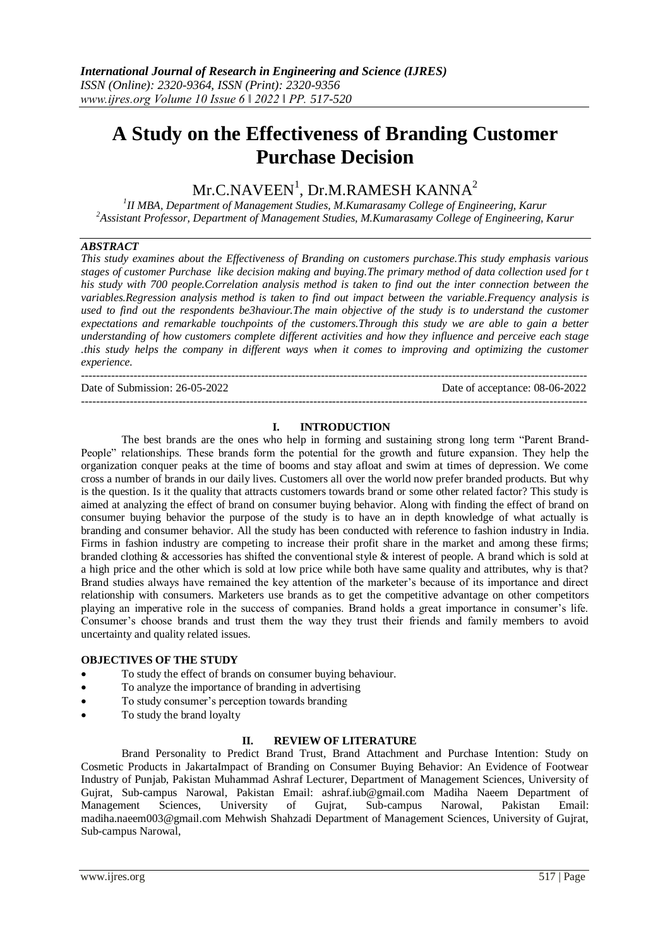# **A Study on the Effectiveness of Branding Customer Purchase Decision**

# $\rm{Mr. C. NAVEEN}^{1},$   $\rm{Dr. M. RAMESH}$   $\rm{KANNA}^{2}$

*1 II MBA, Department of Management Studies, M.Kumarasamy College of Engineering, Karur <sup>2</sup>Assistant Professor, Department of Management Studies, M.Kumarasamy College of Engineering, Karur*

### *ABSTRACT*

*This study examines about the Effectiveness of Branding on customers purchase.This study emphasis various stages of customer Purchase like decision making and buying.The primary method of data collection used for t his study with 700 people.Correlation analysis method is taken to find out the inter connection between the variables.Regression analysis method is taken to find out impact between the variable.Frequency analysis is used to find out the respondents be3haviour.The main objective of the study is to understand the customer expectations and remarkable touchpoints of the customers.Through this study we are able to gain a better understanding of how customers complete different activities and how they influence and perceive each stage this study helps the company in different ways when it comes to improving and optimizing the customer experience.*

Date of Submission: 26-05-2022 Date of acceptance: 08-06-2022

---------------------------------------------------------------------------------------------------------------------------------------

# ---------------------------------------------------------------------------------------------------------------------------------------

# **I. INTRODUCTION**

The best brands are the ones who help in forming and sustaining strong long term "Parent Brand-People" relationships. These brands form the potential for the growth and future expansion. They help the organization conquer peaks at the time of booms and stay afloat and swim at times of depression. We come cross a number of brands in our daily lives. Customers all over the world now prefer branded products. But why is the question. Is it the quality that attracts customers towards brand or some other related factor? This study is aimed at analyzing the effect of brand on consumer buying behavior. Along with finding the effect of brand on consumer buying behavior the purpose of the study is to have an in depth knowledge of what actually is branding and consumer behavior. All the study has been conducted with reference to fashion industry in India. Firms in fashion industry are competing to increase their profit share in the market and among these firms; branded clothing & accessories has shifted the conventional style & interest of people. A brand which is sold at a high price and the other which is sold at low price while both have same quality and attributes, why is that? Brand studies always have remained the key attention of the marketer's because of its importance and direct relationship with consumers. Marketers use brands as to get the competitive advantage on other competitors playing an imperative role in the success of companies. Brand holds a great importance in consumer's life. Consumer's choose brands and trust them the way they trust their friends and family members to avoid uncertainty and quality related issues.

#### **OBJECTIVES OF THE STUDY**

- To study the effect of brands on consumer buying behaviour.
- To analyze the importance of branding in advertising
- To study consumer's perception towards branding
- To study the brand loyalty

#### **II. REVIEW OF LITERATURE**

Brand Personality to Predict Brand Trust, Brand Attachment and Purchase Intention: Study on Cosmetic Products in JakartaImpact of Branding on Consumer Buying Behavior: An Evidence of Footwear Industry of Punjab, Pakistan Muhammad Ashraf Lecturer, Department of Management Sciences, University of Gujrat, Sub-campus Narowal, Pakistan Email: ashraf.iub@gmail.com Madiha Naeem Department of Management Sciences, University of Gujrat, Sub-campus Narowal, Pakistan Email: madiha.naeem003@gmail.com Mehwish Shahzadi Department of Management Sciences, University of Gujrat, Sub-campus Narowal,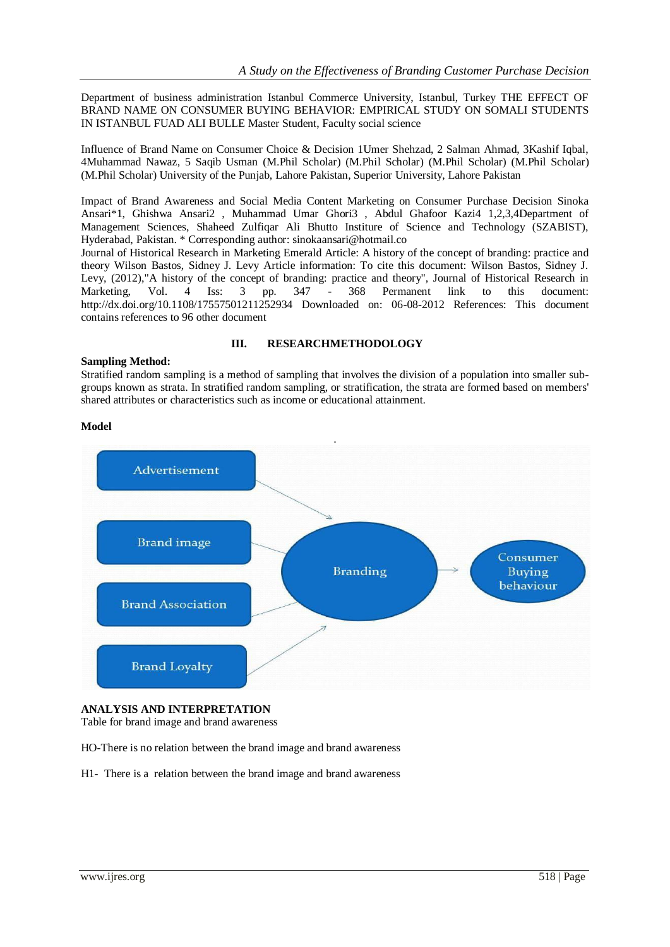Department of business administration Istanbul Commerce University, Istanbul, Turkey THE EFFECT OF BRAND NAME ON CONSUMER BUYING BEHAVIOR: EMPIRICAL STUDY ON SOMALI STUDENTS IN ISTANBUL FUAD ALI BULLE Master Student, Faculty social science

Influence of Brand Name on Consumer Choice & Decision 1Umer Shehzad, 2 Salman Ahmad, 3Kashif Iqbal, 4Muhammad Nawaz, 5 Saqib Usman (M.Phil Scholar) (M.Phil Scholar) (M.Phil Scholar) (M.Phil Scholar) (M.Phil Scholar) University of the Punjab, Lahore Pakistan, Superior University, Lahore Pakistan

Impact of Brand Awareness and Social Media Content Marketing on Consumer Purchase Decision Sinoka Ansari\*1, Ghishwa Ansari2 , Muhammad Umar Ghori3 , Abdul Ghafoor Kazi4 1,2,3,4Department of Management Sciences, Shaheed Zulfiqar Ali Bhutto Institure of Science and Technology (SZABIST), Hyderabad, Pakistan. \* Corresponding author: sinokaansari@hotmail.co

Journal of Historical Research in Marketing Emerald Article: A history of the concept of branding: practice and theory Wilson Bastos, Sidney J. Levy Article information: To cite this document: Wilson Bastos, Sidney J. Levy, (2012),"A history of the concept of branding: practice and theory", Journal of Historical Research in Marketing, Vol. 4 Iss: 3 pp. 347 - 368 Permanent link to this document: http://dx.doi.org/10.1108/17557501211252934 Downloaded on: 06-08-2012 References: This document contains references to 96 other document

#### **III. RESEARCHMETHODOLOGY**

#### **Sampling Method:**

Stratified random sampling is a method of sampling that involves the division of a population into smaller subgroups known as strata. In stratified random sampling, or stratification, the strata are formed based on members' shared attributes or characteristics such as income or educational attainment.

#### **Model**



#### **ANALYSIS AND INTERPRETATION**

Table for brand image and brand awareness

HO-There is no relation between the brand image and brand awareness

H1- There is a relation between the brand image and brand awareness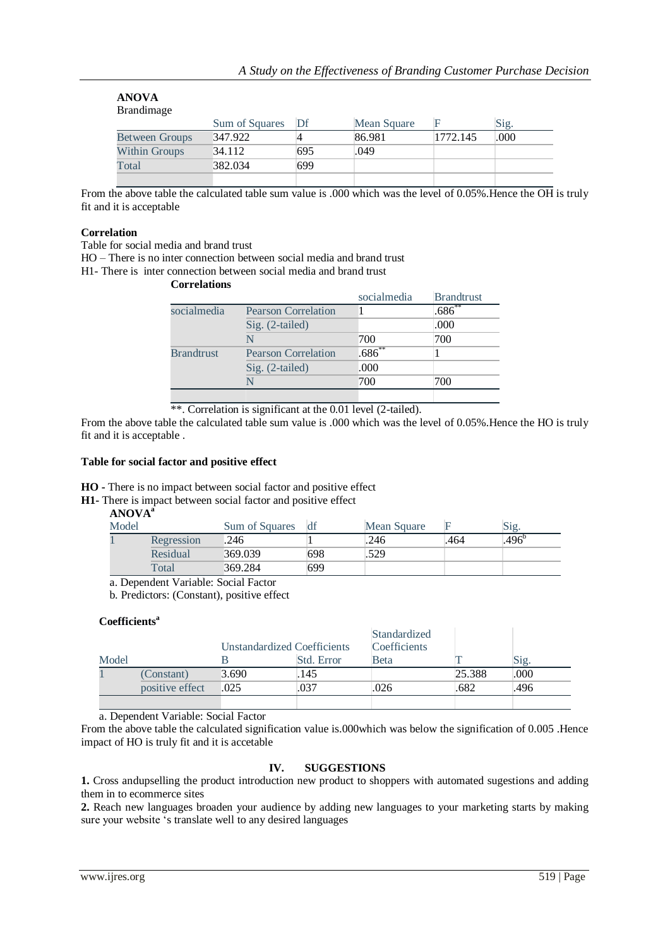| ARU VA<br><b>Brandimage</b> |                |     |             |          |      |
|-----------------------------|----------------|-----|-------------|----------|------|
|                             | Sum of Squares | Df  | Mean Square |          | Sig. |
| <b>Between Groups</b>       | 347.922        |     | 86.981      | 1772.145 | .000 |
| Within Groups               | 34.112         | 695 | .049        |          |      |
| Total                       | 382.034        | 699 |             |          |      |
|                             |                |     |             |          |      |

From the above table the calculated table sum value is .000 which was the level of 0.05%. Hence the OH is truly fit and it is acceptable

#### **Correlation**

**ANOVA**

Table for social media and brand trust

HO – There is no inter connection between social media and brand trust

H1- There is inter connection between social media and brand trust

**Correlations**

|                   |                            | socialmedia | <b>Brandtrust</b> |
|-------------------|----------------------------|-------------|-------------------|
| socialmedia       | <b>Pearson Correlation</b> |             | $1.686^{**}$      |
|                   | Sig. (2-tailed)            |             | .000              |
|                   | N                          | 700         | 700               |
| <b>Brandtrust</b> | <b>Pearson Correlation</b> | $.686^{**}$ |                   |
|                   | Sig. (2-tailed)            | .000        |                   |
|                   | N                          | 700         | 700               |
|                   |                            |             |                   |

\*\*. Correlation is significant at the 0.01 level (2-tailed).

From the above table the calculated table sum value is .000 which was the level of 0.05%.Hence the HO is truly fit and it is acceptable .

#### **Table for social factor and positive effect**

**HO -** There is no impact between social factor and positive effect

**H1-** There is impact between social factor and positive effect

## **ANOVA<sup>a</sup>**

| Model |            | Sum of Squares | df  | Mean Square |      | Sig.              |
|-------|------------|----------------|-----|-------------|------|-------------------|
|       | Regression | .246           |     | .246        | .464 | .496 <sup>b</sup> |
|       | Residual   | 369.039        | 698 | .529        |      |                   |
|       | Total      | 369.284        | 699 |             |      |                   |

a. Dependent Variable: Social Factor

b. Predictors: (Constant), positive effect

## **Coefficients<sup>a</sup>**

|       |                 | Unstandardized Coefficients |            | <b>Standardized</b><br><b>Coefficients</b> |        |      |
|-------|-----------------|-----------------------------|------------|--------------------------------------------|--------|------|
| Model |                 |                             | Std. Error | <b>Beta</b>                                |        | Sig. |
|       | (Constant)      | 3.690                       | .145       |                                            | 25.388 | .000 |
|       | positive effect | .025                        | .037       | .026                                       | .682   | .496 |
|       |                 |                             |            |                                            |        |      |

a. Dependent Variable: Social Factor

From the above table the calculated signification value is.000which was below the signification of 0.005 .Hence impact of HO is truly fit and it is accetable

### **IV. SUGGESTIONS**

**1.** Cross andupselling the product introduction new product to shoppers with automated sugestions and adding them in to ecommerce sites

**2.** Reach new languages broaden your audience by adding new languages to your marketing starts by making sure your website 's translate well to any desired languages